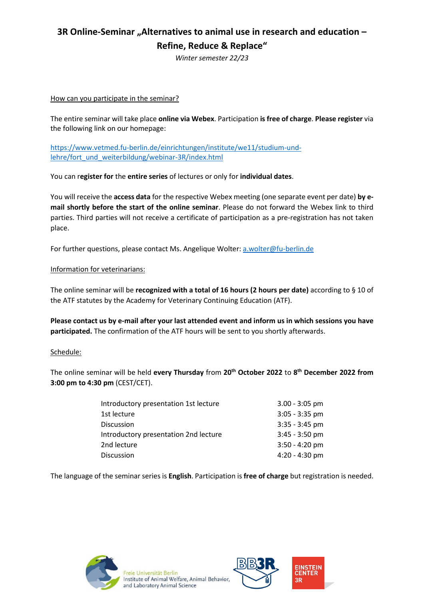## **3R Online-Seminar "Alternatives to animal use in research and education – Refine, Reduce & Replace"**

*Winter semester 22/23*

### How can you participate in the seminar?

The entire seminar will take place **online via Webex**. Participation **is free of charge**. **Please register** via the following link on our homepage:

[https://www.vetmed.fu-berlin.de/einrichtungen/institute/we11/studium-und](https://www.vetmed.fu-berlin.de/einrichtungen/institute/we11/studium-und-lehre/fort_und_weiterbildung/webinar-3R/index.html)[lehre/fort\\_und\\_weiterbildung/webinar-3R/index.html](https://www.vetmed.fu-berlin.de/einrichtungen/institute/we11/studium-und-lehre/fort_und_weiterbildung/webinar-3R/index.html)

You can r**egister for** the **entire series** of lectures or only for **individual dates**.

You will receive the **access data** for the respective Webex meeting (one separate event per date) **by email shortly before the start of the online seminar**. Please do not forward the Webex link to third parties. Third parties will not receive a certificate of participation as a pre-registration has not taken place.

For further questions, please contact Ms. Angelique Wolter: [a.wolter@fu-berlin.de](mailto:a.wolter@fu-berlin.de)

### Information for veterinarians:

The online seminar will be **recognized with a total of 16 hours (2 hours per date)** according to § 10 of the ATF statutes by the Academy for Veterinary Continuing Education (ATF).

**Please contact us by e-mail after your last attended event and inform us in which sessions you have participated.** The confirmation of the ATF hours will be sent to you shortly afterwards.

#### Schedule:

The online seminar will be held **every Thursday** from **20th October 2022** to **8th December 2022 from 3:00 pm to 4:30 pm** (CEST/CET).

| Introductory presentation 1st lecture | $3.00 - 3:05$ pm |
|---------------------------------------|------------------|
| 1st lecture                           | $3:05 - 3:35$ pm |
| <b>Discussion</b>                     | $3:35 - 3:45$ pm |
| Introductory presentation 2nd lecture | $3:45 - 3:50$ pm |
| 2nd lecture                           | $3:50 - 4:20$ pm |
| Discussion                            | $4:20 - 4:30$ pm |

The language of the seminar series is **English**. Participation is **free of charge** but registration is needed.





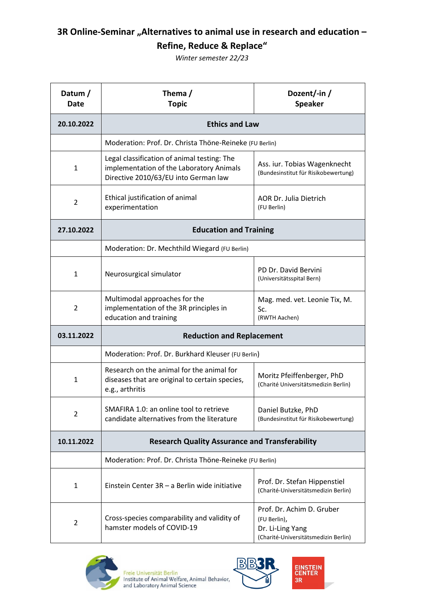# **3R Online-Seminar "Alternatives to animal use in research and education -Refine, Reduce & Replace"**

*Winter semester 22/23*

| Datum /<br><b>Date</b> | Thema/<br><b>Topic</b>                                                                                                          | Dozent/-in/<br><b>Speaker</b>                                                                         |  |
|------------------------|---------------------------------------------------------------------------------------------------------------------------------|-------------------------------------------------------------------------------------------------------|--|
| 20.10.2022             | <b>Ethics and Law</b>                                                                                                           |                                                                                                       |  |
|                        | Moderation: Prof. Dr. Christa Thöne-Reineke (FU Berlin)                                                                         |                                                                                                       |  |
| $\mathbf{1}$           | Legal classification of animal testing: The<br>implementation of the Laboratory Animals<br>Directive 2010/63/EU into German law | Ass. iur. Tobias Wagenknecht<br>(Bundesinstitut für Risikobewertung)                                  |  |
| 2                      | Ethical justification of animal<br>experimentation                                                                              | AOR Dr. Julia Dietrich<br>(FU Berlin)                                                                 |  |
| 27.10.2022             | <b>Education and Training</b>                                                                                                   |                                                                                                       |  |
|                        | Moderation: Dr. Mechthild Wiegard (FU Berlin)                                                                                   |                                                                                                       |  |
| $\mathbf{1}$           | Neurosurgical simulator                                                                                                         | PD Dr. David Bervini<br>(Universitätsspital Bern)                                                     |  |
| $\overline{2}$         | Multimodal approaches for the<br>implementation of the 3R principles in<br>education and training                               | Mag. med. vet. Leonie Tix, M.<br>Sc.<br>(RWTH Aachen)                                                 |  |
| 03.11.2022             | <b>Reduction and Replacement</b>                                                                                                |                                                                                                       |  |
|                        | Moderation: Prof. Dr. Burkhard Kleuser (FU Berlin)                                                                              |                                                                                                       |  |
| $\mathbf{1}$           | Research on the animal for the animal for<br>diseases that are original to certain species,<br>e.g., arthritis                  | Moritz Pfeiffenberger, PhD<br>(Charité Universitätsmedizin Berlin)                                    |  |
| 2                      | SMAFIRA 1.0: an online tool to retrieve<br>candidate alternatives from the literature                                           | Daniel Butzke, PhD<br>(Bundesinstitut für Risikobewertung)                                            |  |
| 10.11.2022             | <b>Research Quality Assurance and Transferability</b>                                                                           |                                                                                                       |  |
|                        | Moderation: Prof. Dr. Christa Thöne-Reineke (FU Berlin)                                                                         |                                                                                                       |  |
| 1                      | Einstein Center 3R - a Berlin wide initiative                                                                                   | Prof. Dr. Stefan Hippenstiel<br>(Charité-Universitätsmedizin Berlin)                                  |  |
| 2                      | Cross-species comparability and validity of<br>hamster models of COVID-19                                                       | Prof. Dr. Achim D. Gruber<br>(FU Berlin),<br>Dr. Li-Ling Yang<br>(Charité-Universitätsmedizin Berlin) |  |